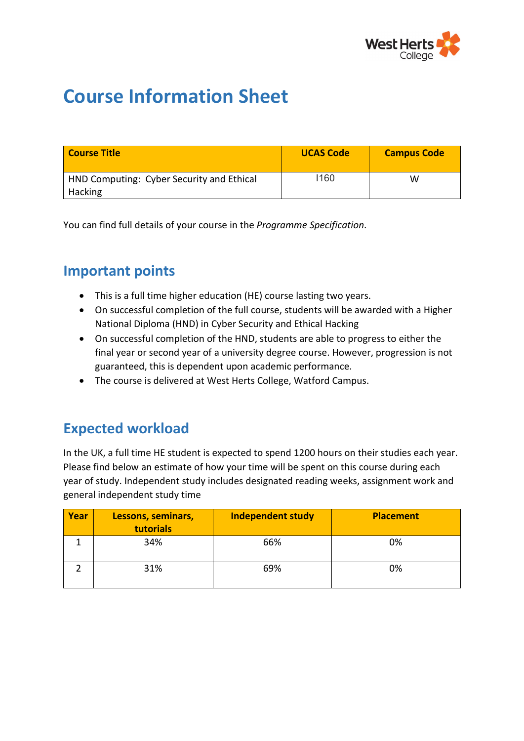

# **Course Information Sheet**

| <b>Course Title</b>                       | <b>UCAS Code</b> | <b>Campus Code</b> |
|-------------------------------------------|------------------|--------------------|
| HND Computing: Cyber Security and Ethical | 1160             | W                  |
| Hacking                                   |                  |                    |

You can find full details of your course in the *Programme Specification*.

## **Important points**

- This is a full time higher education (HE) course lasting two years.
- On successful completion of the full course, students will be awarded with a Higher National Diploma (HND) in Cyber Security and Ethical Hacking
- On successful completion of the HND, students are able to progress to either the final year or second year of a university degree course. However, progression is not guaranteed, this is dependent upon academic performance.
- The course is delivered at West Herts College, Watford Campus.

## **Expected workload**

In the UK, a full time HE student is expected to spend 1200 hours on their studies each year. Please find below an estimate of how your time will be spent on this course during each year of study. Independent study includes designated reading weeks, assignment work and general independent study time

| Year | <b>Lessons, seminars,</b><br>tutorials | <b>Independent study</b> | <b>Placement</b> |
|------|----------------------------------------|--------------------------|------------------|
|      | 34%                                    | 66%                      | 0%               |
|      | 31%                                    | 69%                      | 0%               |